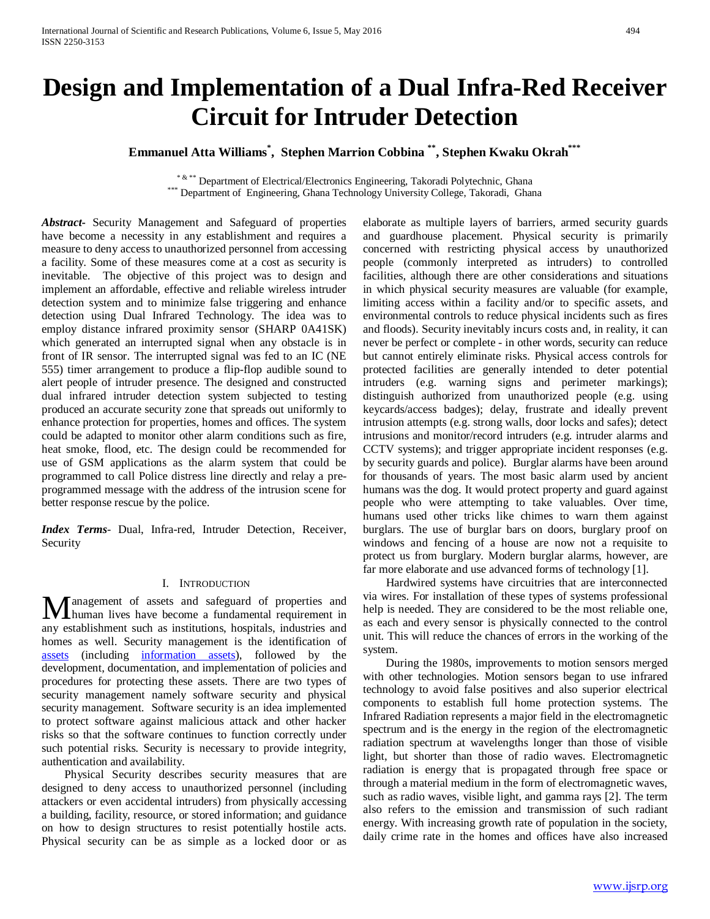# **Design and Implementation of a Dual Infra-Red Receiver Circuit for Intruder Detection**

# **Emmanuel Atta Williams\* , Stephen Marrion Cobbina \*\*, Stephen Kwaku Okrah\*\*\***

\* & \*\* Department of Electrical/Electronics Engineering, Takoradi Polytechnic, Ghana \*\*\* Department of Engineering, Ghana Technology University College, Takoradi, Ghana

*Abstract***-** Security Management and Safeguard of properties have become a necessity in any establishment and requires a measure to deny access to unauthorized personnel from accessing a facility. Some of these measures come at a cost as security is inevitable. The objective of this project was to design and implement an affordable, effective and reliable wireless intruder detection system and to minimize false triggering and enhance detection using Dual Infrared Technology. The idea was to employ distance infrared proximity sensor (SHARP 0A41SK) which generated an interrupted signal when any obstacle is in front of IR sensor. The interrupted signal was fed to an IC (NE 555) timer arrangement to produce a flip-flop audible sound to alert people of intruder presence. The designed and constructed dual infrared intruder detection system subjected to testing produced an accurate security zone that spreads out uniformly to enhance protection for properties, homes and offices. The system could be adapted to monitor other alarm conditions such as fire, heat smoke, flood, etc. The design could be recommended for use of GSM applications as the alarm system that could be programmed to call Police distress line directly and relay a preprogrammed message with the address of the intrusion scene for better response rescue by the police.

*Index Terms*- Dual, Infra-red, Intruder Detection, Receiver, Security

## I. INTRODUCTION

anagement of assets and safeguard of properties and **M** anagement of assets and safeguard of properties and human lives have become a fundamental requirement in any establishment such as institutions, hospitals, industries and homes as well. Security management is the identification of [assets](https://en.wikipedia.org/wiki/Asset) (including [information assets\)](https://en.wikipedia.org/wiki/Asset_(computer_security)), followed by the development, documentation, and implementation of policies and procedures for protecting these assets. There are two types of security management namely software security and physical security management. Software security is an idea implemented to protect software against malicious attack and other hacker risks so that the software continues to function correctly under such potential risks. Security is necessary to provide integrity, authentication and availability.

 Physical Security describes security measures that are designed to deny access to unauthorized personnel (including attackers or even accidental intruders) from physically accessing a building, facility, resource, or stored information; and guidance on how to design structures to resist potentially hostile acts. Physical security can be as simple as a locked door or as elaborate as multiple layers of barriers, armed security guards and guardhouse placement. Physical security is primarily concerned with restricting physical access by unauthorized people (commonly interpreted as intruders) to controlled facilities, although there are other considerations and situations in which physical security measures are valuable (for example, limiting access within a facility and/or to specific assets, and environmental controls to reduce physical incidents such as fires and floods). Security inevitably incurs costs and, in reality, it can never be perfect or complete - in other words, security can reduce but cannot entirely eliminate risks. Physical access controls for protected facilities are generally intended to deter potential intruders (e.g. warning signs and perimeter markings); distinguish authorized from unauthorized people (e.g. using keycards/access badges); delay, frustrate and ideally prevent intrusion attempts (e.g. strong walls, door locks and safes); detect intrusions and monitor/record intruders (e.g. intruder alarms and CCTV systems); and trigger appropriate incident responses (e.g. by security guards and police). Burglar alarms have been around for thousands of years. The most basic alarm used by ancient humans was the dog. It would protect property and guard against people who were attempting to take valuables. Over time, humans used other tricks like chimes to warn them against burglars. The use of burglar bars on doors, burglary proof on windows and fencing of a house are now not a requisite to protect us from burglary. Modern burglar alarms, however, are far more elaborate and use advanced forms of technology [1].

 Hardwired systems have circuitries that are interconnected via wires. For installation of these types of systems professional help is needed. They are considered to be the most reliable one, as each and every sensor is physically connected to the control unit. This will reduce the chances of errors in the working of the system.

 During the 1980s, improvements to motion sensors merged with other technologies. Motion sensors began to use infrared technology to avoid false positives and also superior electrical components to establish full home protection systems. The Infrared Radiation represents a major field in the electromagnetic spectrum and is the energy in the region of the electromagnetic radiation spectrum at wavelengths longer than those of visible light, but shorter than those of radio waves. Electromagnetic radiation is energy that is propagated through free space or through a material medium in the form of electromagnetic waves, such as radio waves, visible light, and gamma rays [2]. The term also refers to the emission and transmission of such radiant energy. With increasing growth rate of population in the society, daily crime rate in the homes and offices have also increased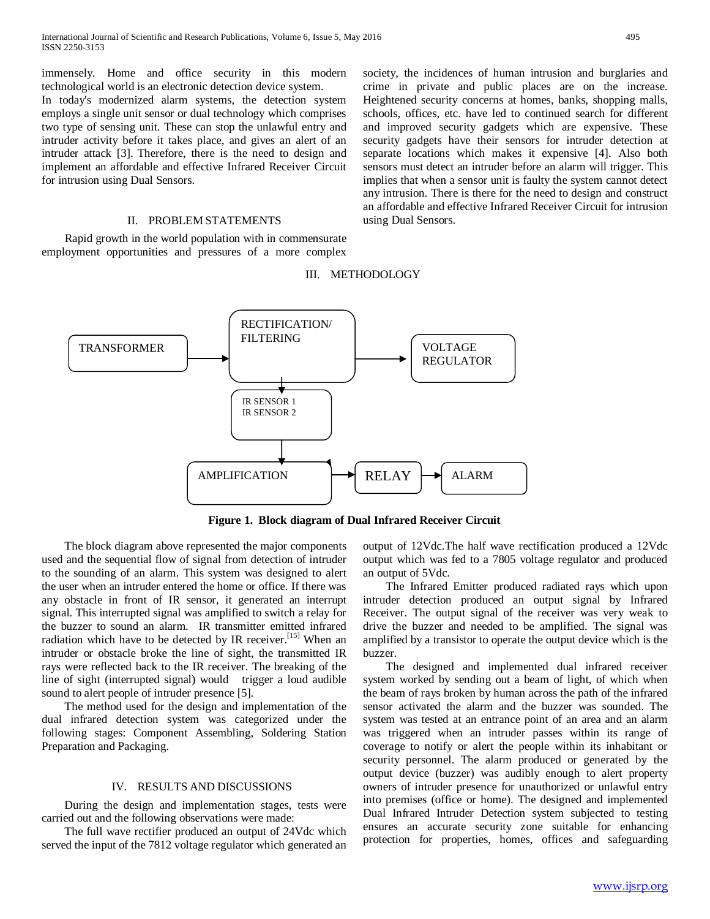immensely. Home and office security in this modern technological world is an electronic detection device system.

In today's modernized alarm systems, the detection system employs a single unit sensor or dual technology which comprises two type of sensing unit. These can stop the unlawful entry and intruder activity before it takes place, and gives an alert of an intruder attack [3]. Therefore, there is the need to design and implement an affordable and effective Infrared Receiver Circuit for intrusion using Dual Sensors.

### II. PROBLEM STATEMENTS

 Rapid growth in the world population with in commensurate employment opportunities and pressures of a more complex society, the incidences of human intrusion and burglaries and crime in private and public places are on the increase. Heightened security concerns at homes, banks, shopping malls, schools, offices, etc. have led to continued search for different and improved security gadgets which are expensive. These security gadgets have their sensors for intruder detection at separate locations which makes it expensive [4]. Also both sensors must detect an intruder before an alarm will trigger. This implies that when a sensor unit is faulty the system cannot detect any intrusion. There is there for the need to design and construct an affordable and effective Infrared Receiver Circuit for intrusion using Dual Sensors.

### III. METHODOLOGY



**Figure 1. Block diagram of Dual Infrared Receiver Circuit**

 The block diagram above represented the major components used and the sequential flow of signal from detection of intruder to the sounding of an alarm. This system was designed to alert the user when an intruder entered the home or office. If there was any obstacle in front of IR sensor, it generated an interrupt signal. This interrupted signal was amplified to switch a relay for the buzzer to sound an alarm. IR transmitter emitted infrared radiation which have to be detected by IR receiver.<sup>[15]</sup> When an intruder or obstacle broke the line of sight, the transmitted IR rays were reflected back to the IR receiver. The breaking of the line of sight (interrupted signal) would trigger a loud audible sound to alert people of intruder presence [5].

 The method used for the design and implementation of the dual infrared detection system was categorized under the following stages: Component Assembling, Soldering Station Preparation and Packaging.

#### IV. RESULTS AND DISCUSSIONS

 During the design and implementation stages, tests were carried out and the following observations were made:

 The full wave rectifier produced an output of 24Vdc which served the input of the 7812 voltage regulator which generated an output of 12Vdc.The half wave rectification produced a 12Vdc output which was fed to a 7805 voltage regulator and produced an output of 5Vdc.

 The Infrared Emitter produced radiated rays which upon intruder detection produced an output signal by Infrared Receiver. The output signal of the receiver was very weak to drive the buzzer and needed to be amplified. The signal was amplified by a transistor to operate the output device which is the buzzer.

 The designed and implemented dual infrared receiver system worked by sending out a beam of light, of which when the beam of rays broken by human across the path of the infrared sensor activated the alarm and the buzzer was sounded. The system was tested at an entrance point of an area and an alarm was triggered when an intruder passes within its range of coverage to notify or alert the people within its inhabitant or security personnel. The alarm produced or generated by the output device (buzzer) was audibly enough to alert property owners of intruder presence for unauthorized or unlawful entry into premises (office or home). The designed and implemented Dual Infrared Intruder Detection system subjected to testing ensures an accurate security zone suitable for enhancing protection for properties, homes, offices and safeguarding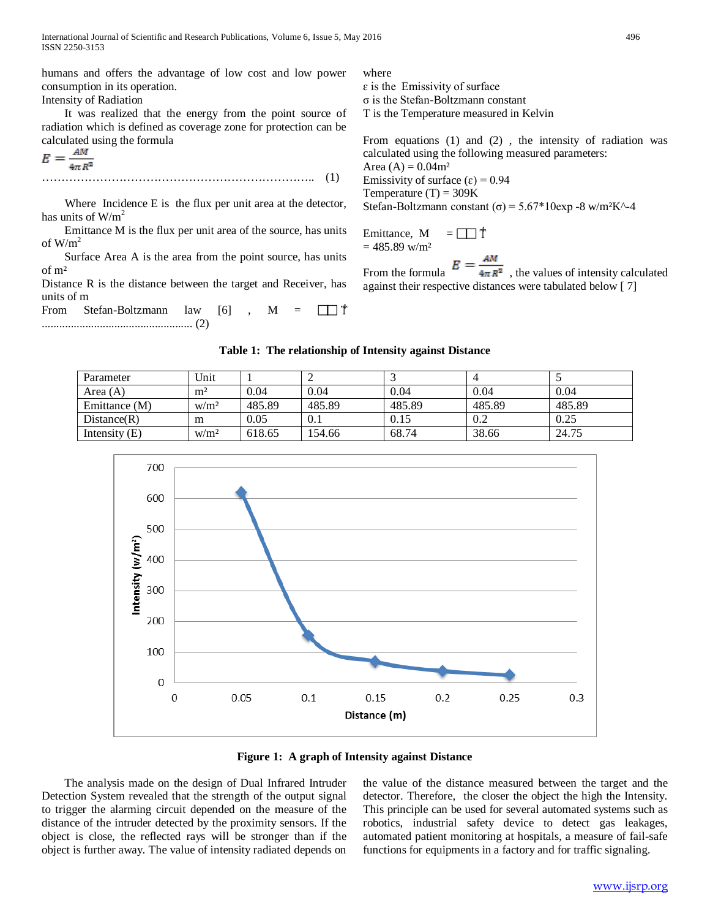International Journal of Scientific and Research Publications, Volume 6, Issue 5, May 2016 496 ISSN 2250-3153

humans and offers the advantage of low cost and low power consumption in its operation. Intensity of Radiation

 It was realized that the energy from the point source of radiation which is defined as coverage zone for protection can be calculated using the formula

$$
E = \frac{AM}{4\pi R^2}
$$
 (1)

Where Incidence E is the flux per unit area at the detector, has units of  $W/m<sup>2</sup>$ 

 Emittance M is the flux per unit area of the source, has units of  $W/m^2$ 

 Surface Area A is the area from the point source, has units of m²

Distance R is the distance between the target and Receiver, has units of m

From Stefan-Boltzmann law  $[6]$ , M =  $\Box$   $\Box$   $\mathbb{T}$ .................................................... (2)

where  $\varepsilon$  is the Emissivity of surface σ is the Stefan-Boltzmann constant

T is the Temperature measured in Kelvin

From equations (1) and (2) , the intensity of radiation was calculated using the following measured parameters: Area  $(A) = 0.04$ m<sup>2</sup> Emissivity of surface  $(\epsilon) = 0.94$ Temperature  $(T) = 309K$ Stefan-Boltzmann constant  $(\sigma) = 5.67*10$ exp -8 w/m<sup>2</sup>K<sup> $\land$ </sup>-4

Emittance, M  $=$   $\Box$   $\top$  $= 485.89$  w/m<sup>2</sup>

From the formula  $E = \frac{1}{4\pi R^2}$ , the values of intensity calculated against their respective distances were tabulated below [ 7]

#### **Table 1: The relationship of Intensity against Distance**

| Parameter       | Unit             |        |        |        |        |        |
|-----------------|------------------|--------|--------|--------|--------|--------|
| Area $(A)$      | m <sup>2</sup>   | 0.04   | 0.04   | 0.04   | 0.04   | 0.04   |
| Emittance (M)   | W/m <sup>2</sup> | 485.89 | 485.89 | 485.89 | 485.89 | 485.89 |
| Distance(R)     | m                | 0.05   | 0.1    | 0.15   | 0.2    | 0.25   |
| Intensity $(E)$ | W/m <sup>2</sup> | 618.65 | 154.66 | 68.74  | 38.66  | 24.75  |



**Figure 1: A graph of Intensity against Distance**

 The analysis made on the design of Dual Infrared Intruder Detection System revealed that the strength of the output signal to trigger the alarming circuit depended on the measure of the distance of the intruder detected by the proximity sensors. If the object is close, the reflected rays will be stronger than if the object is further away. The value of intensity radiated depends on

the value of the distance measured between the target and the detector. Therefore, the closer the object the high the Intensity. This principle can be used for several automated systems such as robotics, industrial safety device to detect gas leakages, automated patient monitoring at hospitals, a measure of fail-safe functions for equipments in a factory and for traffic signaling.